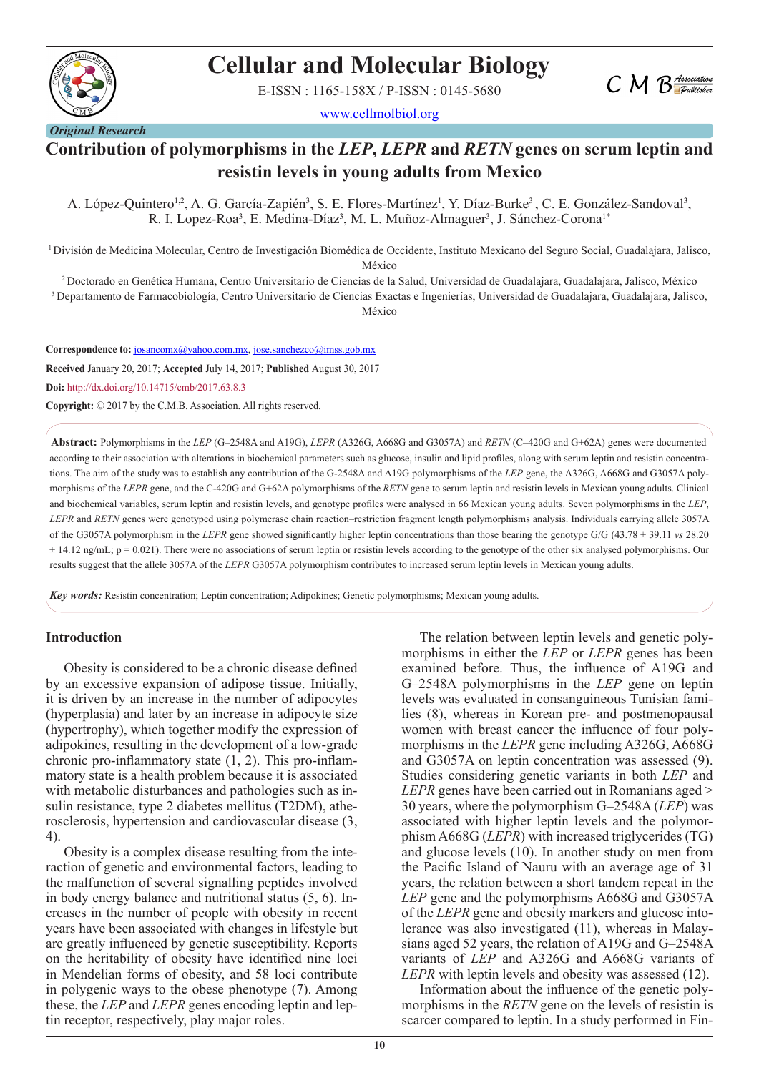

# **Cellular and Molecular Biology**

E-ISSN : 1165-158X / P-ISSN : 0145-5680

www.cellmolbiol.org



# **Contribution of polymorphisms in the** *LEP***,** *LEPR* **and** *RETN* **genes on serum leptin and resistin levels in young adults from Mexico**

A. López-Quintero<sup>1,2</sup>, A. G. García-Zapién<sup>3</sup>, S. E. Flores-Martínez<sup>1</sup>, Y. Díaz-Burke<sup>3</sup>, C. E. González-Sandoval<sup>3</sup>, R. I. Lopez-Roa<sup>3</sup>, E. Medina-Díaz<sup>3</sup>, M. L. Muñoz-Almaguer<sup>3</sup>, J. Sánchez-Corona<sup>1\*</sup>

1 División de Medicina Molecular, Centro de Investigación Biomédica de Occidente, Instituto Mexicano del Seguro Social, Guadalajara, Jalisco,

México

2 Doctorado en Genética Humana, Centro Universitario de Ciencias de la Salud, Universidad de Guadalajara, Guadalajara, Jalisco, México 3 Departamento de Farmacobiología, Centro Universitario de Ciencias Exactas e Ingenierías, Universidad de Guadalajara, Guadalajara, Jalisco, México

**Correspondence to:** josancomx@yahoo.com.mx, jose.sanchezco@imss.gob.mx

**Received** January 20, 2017; **Accepted** July 14, 2017; **Published** August 30, 2017

**Doi:** http://dx.doi.org/10.14715/cmb/2017.63.8.3

**Copyright:** © 2017 by the C.M.B. Association. All rights reserved.

**Abstract:** Polymorphisms in the *LEP* (G–2548A and A19G), *LEPR* (A326G, A668G and G3057A) and *RETN* (C–420G and G+62A) genes were documented according to their association with alterations in biochemical parameters such as glucose, insulin and lipid profiles, along with serum leptin and resistin concentrations. The aim of the study was to establish any contribution of the G-2548A and A19G polymorphisms of the *LEP* gene, the A326G, A668G and G3057A polymorphisms of the *LEPR* gene, and the C-420G and G+62A polymorphisms of the *RETN* gene to serum leptin and resistin levels in Mexican young adults. Clinical and biochemical variables, serum leptin and resistin levels, and genotype profiles were analysed in 66 Mexican young adults. Seven polymorphisms in the *LEP*, *LEPR* and *RETN* genes were genotyped using polymerase chain reaction–restriction fragment length polymorphisms analysis. Individuals carrying allele 3057A of the G3057A polymorphism in the *LEPR* gene showed significantly higher leptin concentrations than those bearing the genotype G/G (43.78 ± 39.11 *vs* 28.20  $\pm$  14.12 ng/mL;  $p = 0.021$ ). There were no associations of serum leptin or resistin levels according to the genotype of the other six analysed polymorphisms. Our results suggest that the allele 3057A of the *LEPR* G3057A polymorphism contributes to increased serum leptin levels in Mexican young adults.

*Key words:* Resistin concentration; Leptin concentration; Adipokines; Genetic polymorphisms; Mexican young adults.

#### **Introduction**

Obesity is considered to be a chronic disease defined by an excessive expansion of adipose tissue. Initially, it is driven by an increase in the number of adipocytes (hyperplasia) and later by an increase in adipocyte size (hypertrophy), which together modify the expression of adipokines, resulting in the development of a low-grade chronic pro-inflammatory state  $(1, 2)$ . This pro-inflammatory state is a health problem because it is associated with metabolic disturbances and pathologies such as insulin resistance, type 2 diabetes mellitus (T2DM), atherosclerosis, hypertension and cardiovascular disease (3, 4).

Obesity is a complex disease resulting from the interaction of genetic and environmental factors, leading to the malfunction of several signalling peptides involved in body energy balance and nutritional status (5, 6). Increases in the number of people with obesity in recent years have been associated with changes in lifestyle but are greatly influenced by genetic susceptibility. Reports on the heritability of obesity have identified nine loci in Mendelian forms of obesity, and 58 loci contribute in polygenic ways to the obese phenotype (7). Among these, the *LEP* and *LEPR* genes encoding leptin and leptin receptor, respectively, play major roles.

The relation between leptin levels and genetic polymorphisms in either the *LEP* or *LEPR* genes has been examined before. Thus, the influence of A19G and G–2548A polymorphisms in the *LEP* gene on leptin levels was evaluated in consanguineous Tunisian families (8), whereas in Korean pre- and postmenopausal women with breast cancer the influence of four polymorphisms in the *LEPR* gene including A326G, A668G and G3057A on leptin concentration was assessed (9). Studies considering genetic variants in both *LEP* and *LEPR* genes have been carried out in Romanians aged > 30 years, where the polymorphism G–2548A (*LEP*) was associated with higher leptin levels and the polymorphism A668G (*LEPR*) with increased triglycerides (TG) and glucose levels (10). In another study on men from the Pacific Island of Nauru with an average age of 31 years, the relation between a short tandem repeat in the *LEP* gene and the polymorphisms A668G and G3057A of the *LEPR* gene and obesity markers and glucose intolerance was also investigated (11), whereas in Malaysians aged 52 years, the relation of A19G and G–2548A variants of *LEP* and A326G and A668G variants of *LEPR* with leptin levels and obesity was assessed (12).

Information about the influence of the genetic polymorphisms in the *RETN* gene on the levels of resistin is scarcer compared to leptin. In a study performed in Fin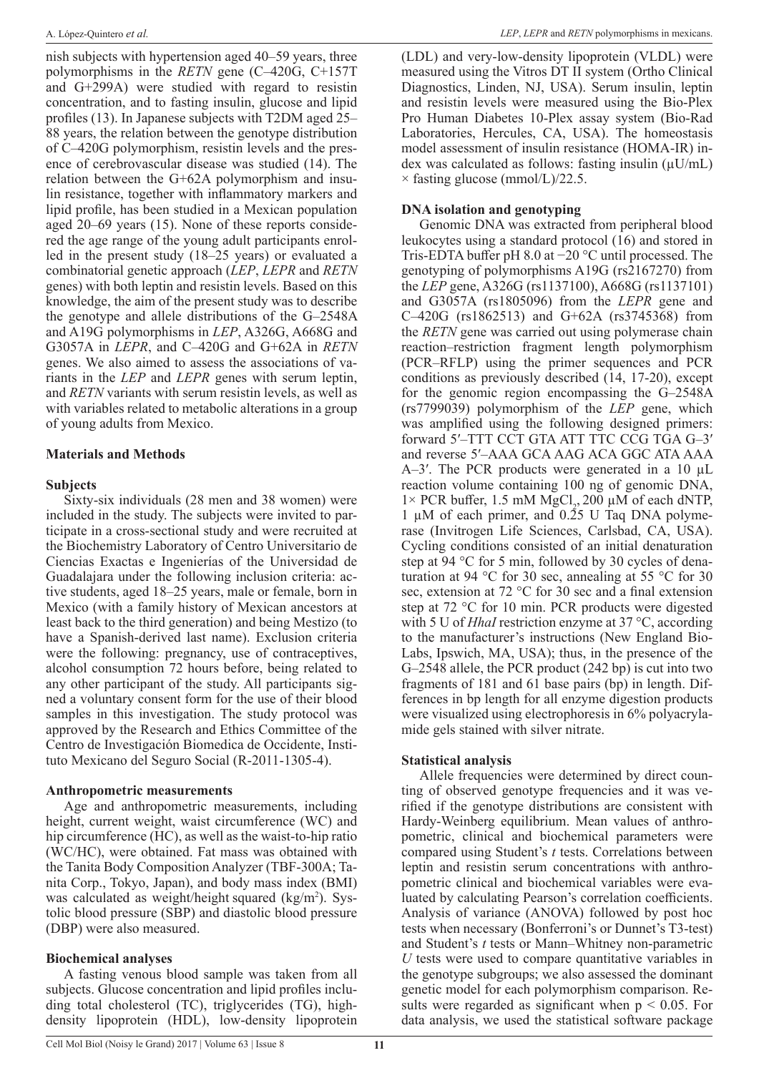nish subjects with hypertension aged 40–59 years, three polymorphisms in the *RETN* gene (C–420G, C+157T and G+299A) were studied with regard to resistin concentration, and to fasting insulin, glucose and lipid profiles (13). In Japanese subjects with T2DM aged 25– 88 years, the relation between the genotype distribution of C–420G polymorphism, resistin levels and the presence of cerebrovascular disease was studied (14). The relation between the G+62A polymorphism and insulin resistance, together with inflammatory markers and lipid profile, has been studied in a Mexican population aged 20–69 years (15). None of these reports considered the age range of the young adult participants enrolled in the present study (18–25 years) or evaluated a combinatorial genetic approach (*LEP*, *LEPR* and *RETN*  genes) with both leptin and resistin levels. Based on this knowledge, the aim of the present study was to describe the genotype and allele distributions of the G–2548A and A19G polymorphisms in *LEP*, A326G, A668G and G3057A in *LEPR*, and C–420G and G+62A in *RETN* genes. We also aimed to assess the associations of variants in the *LEP* and *LEPR* genes with serum leptin, and *RETN* variants with serum resistin levels, as well as with variables related to metabolic alterations in a group of young adults from Mexico.

# **Materials and Methods**

# **Subjects**

Sixty-six individuals (28 men and 38 women) were included in the study. The subjects were invited to participate in a cross-sectional study and were recruited at the Biochemistry Laboratory of Centro Universitario de Ciencias Exactas e Ingenierías of the Universidad de Guadalajara under the following inclusion criteria: active students, aged 18–25 years, male or female, born in Mexico (with a family history of Mexican ancestors at least back to the third generation) and being Mestizo (to have a Spanish-derived last name). Exclusion criteria were the following: pregnancy, use of contraceptives, alcohol consumption 72 hours before, being related to any other participant of the study. All participants signed a voluntary consent form for the use of their blood samples in this investigation. The study protocol was approved by the Research and Ethics Committee of the Centro de Investigación Biomedica de Occidente, Instituto Mexicano del Seguro Social (R-2011-1305-4).

## **Anthropometric measurements**

Age and anthropometric measurements, including height, current weight, waist circumference (WC) and hip circumference (HC), as well as the waist-to-hip ratio (WC/HC), were obtained. Fat mass was obtained with the Tanita Body Composition Analyzer (TBF-300A; Tanita Corp., Tokyo, Japan), and body mass index (BMI) was calculated as weight/height squared (kg/m<sup>2</sup>). Systolic blood pressure (SBP) and diastolic blood pressure (DBP) were also measured.

# **Biochemical analyses**

A fasting venous blood sample was taken from all subjects. Glucose concentration and lipid profiles including total cholesterol (TC), triglycerides (TG), highdensity lipoprotein (HDL), low-density lipoprotein

(LDL) and very-low-density lipoprotein (VLDL) were measured using the Vitros DT II system (Ortho Clinical Diagnostics, Linden, NJ, USA). Serum insulin, leptin and resistin levels were measured using the Bio-Plex Pro Human Diabetes 10-Plex assay system (Bio-Rad Laboratories, Hercules, CA, USA). The homeostasis model assessment of insulin resistance (HOMA-IR) index was calculated as follows: fasting insulin  $(\mu U/mL)$ × fasting glucose (mmol/L)/22.5.

# **DNA isolation and genotyping**

Genomic DNA was extracted from peripheral blood leukocytes using a standard protocol (16) and stored in Tris-EDTA buffer pH 8.0 at −20 °C until processed. The genotyping of polymorphisms A19G (rs2167270) from the *LEP* gene, A326G (rs1137100), A668G (rs1137101) and G3057A (rs1805096) from the *LEPR* gene and C–420G (rs1862513) and G+62A (rs3745368) from the *RETN* gene was carried out using polymerase chain reaction–restriction fragment length polymorphism (PCR–RFLP) using the primer sequences and PCR conditions as previously described (14, 17-20), except for the genomic region encompassing the G–2548A (rs7799039) polymorphism of the *LEP* gene, which was amplified using the following designed primers: forward 5′–TTT CCT GTA ATT TTC CCG TGA G–3′ and reverse 5′–AAA GCA AAG ACA GGC ATA AAA A–3'. The PCR products were generated in a 10 µL reaction volume containing 100 ng of genomic DNA,  $1 \times$  PCR buffer, 1.5 mM MgCl<sub>2</sub>, 200  $\mu$ M of each dNTP, 1  $\mu$ M of each primer, and 0.25 U Taq DNA polymerase (Invitrogen Life Sciences, Carlsbad, CA, USA). Cycling conditions consisted of an initial denaturation step at 94 °C for 5 min, followed by 30 cycles of denaturation at 94 °C for 30 sec, annealing at 55 °C for 30 sec, extension at 72 °C for 30 sec and a final extension step at 72 °C for 10 min. PCR products were digested with 5 U of *HhaI* restriction enzyme at 37 °C, according to the manufacturer's instructions (New England Bio-Labs, Ipswich, MA, USA); thus, in the presence of the G–2548 allele, the PCR product (242 bp) is cut into two fragments of 181 and 61 base pairs (bp) in length. Differences in bp length for all enzyme digestion products were visualized using electrophoresis in 6% polyacrylamide gels stained with silver nitrate.

# **Statistical analysis**

Allele frequencies were determined by direct counting of observed genotype frequencies and it was verified if the genotype distributions are consistent with Hardy-Weinberg equilibrium. Mean values of anthropometric, clinical and biochemical parameters were compared using Student's *t* tests. Correlations between leptin and resistin serum concentrations with anthropometric clinical and biochemical variables were evaluated by calculating Pearson's correlation coefficients. Analysis of variance (ANOVA) followed by post hoc tests when necessary (Bonferroni's or Dunnet's T3-test) and Student's *t* tests or Mann–Whitney non-parametric *U* tests were used to compare quantitative variables in the genotype subgroups; we also assessed the dominant genetic model for each polymorphism comparison. Results were regarded as significant when  $p < 0.05$ . For data analysis, we used the statistical software package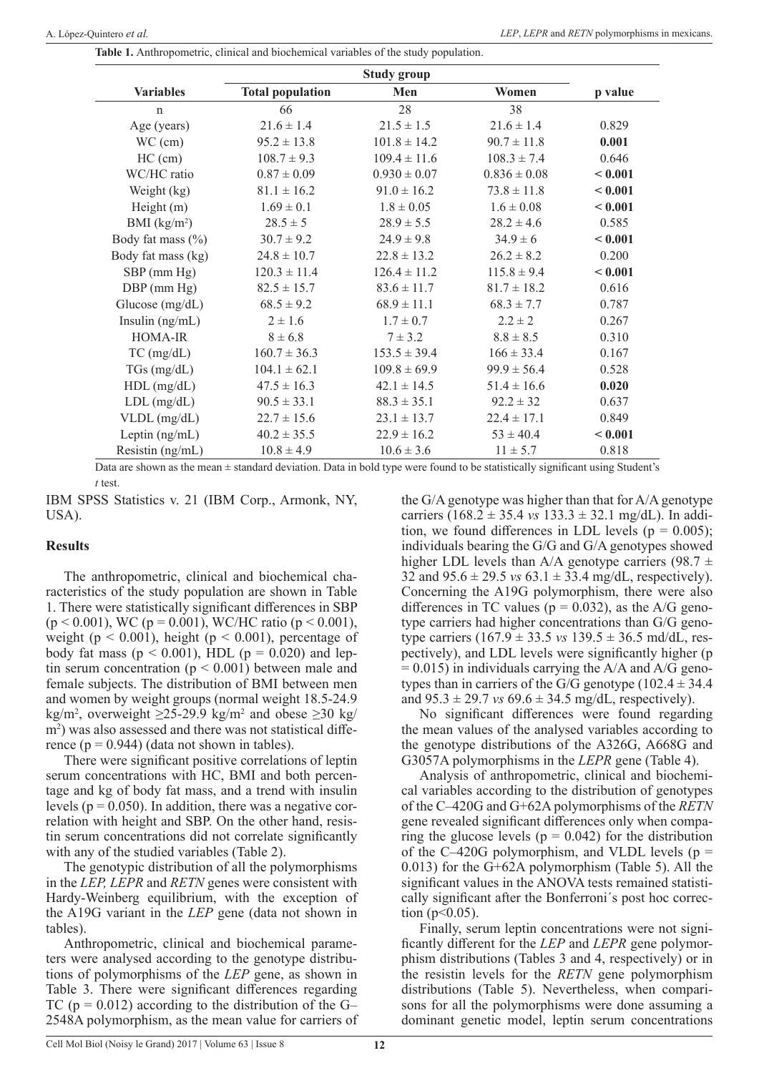| Table 1. Anthropometric, clinical and biochemical variables of the study population. |  |
|--------------------------------------------------------------------------------------|--|
|--------------------------------------------------------------------------------------|--|

| <b>Variables</b><br><b>Total population</b><br>Men<br>Women<br>p value<br>38<br>28<br>66<br>$\mathsf{n}$<br>$21.6 \pm 1.4$<br>$21.5 \pm 1.5$<br>$21.6 \pm 1.4$<br>0.829<br>Age (years)<br>0.001<br>$WC$ (cm)<br>$95.2 \pm 13.8$<br>$101.8 \pm 14.2$<br>$90.7 \pm 11.8$<br>$HC$ (cm)<br>$108.7 \pm 9.3$<br>$109.4 \pm 11.6$<br>$108.3 \pm 7.4$<br>0.646<br>WC/HC ratio<br>< 0.001<br>$0.87 \pm 0.09$<br>$0.930 \pm 0.07$<br>$0.836 \pm 0.08$<br>Weight (kg)<br>$81.1 \pm 16.2$<br>$91.0 \pm 16.2$<br>$73.8 \pm 11.8$<br>< 0.001<br>Height $(m)$<br>$1.69 \pm 0.1$<br>$1.8 \pm 0.05$<br>$1.6 \pm 0.08$<br>< 0.001<br>BMI $(kg/m2)$<br>$28.5 \pm 5$<br>0.585<br>$28.9 \pm 5.5$<br>$28.2 \pm 4.6$<br>Body fat mass (%)<br>$24.9 \pm 9.8$<br>$34.9 \pm 6$<br>< 0.001<br>$30.7 \pm 9.2$<br>Body fat mass (kg)<br>$24.8 \pm 10.7$<br>$22.8 \pm 13.2$<br>$26.2 \pm 8.2$<br>0.200<br>< 0.001<br>SBP (mm Hg)<br>$120.3 \pm 11.4$<br>$126.4 \pm 11.2$<br>$115.8 \pm 9.4$ |                  |                 | <b>Study group</b> |                 |       |
|---------------------------------------------------------------------------------------------------------------------------------------------------------------------------------------------------------------------------------------------------------------------------------------------------------------------------------------------------------------------------------------------------------------------------------------------------------------------------------------------------------------------------------------------------------------------------------------------------------------------------------------------------------------------------------------------------------------------------------------------------------------------------------------------------------------------------------------------------------------------------------------------------------------------------------------------------------------|------------------|-----------------|--------------------|-----------------|-------|
|                                                                                                                                                                                                                                                                                                                                                                                                                                                                                                                                                                                                                                                                                                                                                                                                                                                                                                                                                               |                  |                 |                    |                 |       |
|                                                                                                                                                                                                                                                                                                                                                                                                                                                                                                                                                                                                                                                                                                                                                                                                                                                                                                                                                               |                  |                 |                    |                 |       |
|                                                                                                                                                                                                                                                                                                                                                                                                                                                                                                                                                                                                                                                                                                                                                                                                                                                                                                                                                               |                  |                 |                    |                 |       |
|                                                                                                                                                                                                                                                                                                                                                                                                                                                                                                                                                                                                                                                                                                                                                                                                                                                                                                                                                               |                  |                 |                    |                 |       |
|                                                                                                                                                                                                                                                                                                                                                                                                                                                                                                                                                                                                                                                                                                                                                                                                                                                                                                                                                               |                  |                 |                    |                 |       |
|                                                                                                                                                                                                                                                                                                                                                                                                                                                                                                                                                                                                                                                                                                                                                                                                                                                                                                                                                               |                  |                 |                    |                 |       |
|                                                                                                                                                                                                                                                                                                                                                                                                                                                                                                                                                                                                                                                                                                                                                                                                                                                                                                                                                               |                  |                 |                    |                 |       |
|                                                                                                                                                                                                                                                                                                                                                                                                                                                                                                                                                                                                                                                                                                                                                                                                                                                                                                                                                               |                  |                 |                    |                 |       |
|                                                                                                                                                                                                                                                                                                                                                                                                                                                                                                                                                                                                                                                                                                                                                                                                                                                                                                                                                               |                  |                 |                    |                 |       |
|                                                                                                                                                                                                                                                                                                                                                                                                                                                                                                                                                                                                                                                                                                                                                                                                                                                                                                                                                               |                  |                 |                    |                 |       |
|                                                                                                                                                                                                                                                                                                                                                                                                                                                                                                                                                                                                                                                                                                                                                                                                                                                                                                                                                               |                  |                 |                    |                 |       |
|                                                                                                                                                                                                                                                                                                                                                                                                                                                                                                                                                                                                                                                                                                                                                                                                                                                                                                                                                               |                  |                 |                    |                 |       |
|                                                                                                                                                                                                                                                                                                                                                                                                                                                                                                                                                                                                                                                                                                                                                                                                                                                                                                                                                               | $DBP$ (mm $Hg$ ) | $82.5 \pm 15.7$ | $83.6 \pm 11.7$    | $81.7 \pm 18.2$ | 0.616 |
| Glucose (mg/dL)<br>$68.5 \pm 9.2$<br>$68.9 \pm 11.1$<br>$68.3 \pm 7.7$<br>0.787                                                                                                                                                                                                                                                                                                                                                                                                                                                                                                                                                                                                                                                                                                                                                                                                                                                                               |                  |                 |                    |                 |       |
| Insulin $(ng/mL)$<br>$2 \pm 1.6$<br>$1.7 \pm 0.7$<br>$2.2 \pm 2$<br>0.267                                                                                                                                                                                                                                                                                                                                                                                                                                                                                                                                                                                                                                                                                                                                                                                                                                                                                     |                  |                 |                    |                 |       |
| 0.310<br>HOMA-IR<br>$8 \pm 6.8$<br>$7 \pm 3.2$<br>$8.8 \pm 8.5$                                                                                                                                                                                                                                                                                                                                                                                                                                                                                                                                                                                                                                                                                                                                                                                                                                                                                               |                  |                 |                    |                 |       |
| 0.167<br>$TC$ (mg/dL)<br>$160.7 \pm 36.3$<br>$153.5 \pm 39.4$<br>$166 \pm 33.4$                                                                                                                                                                                                                                                                                                                                                                                                                                                                                                                                                                                                                                                                                                                                                                                                                                                                               |                  |                 |                    |                 |       |
| $109.8 \pm 69.9$<br>0.528<br>$TGs$ (mg/dL)<br>$104.1 \pm 62.1$<br>$99.9 \pm 56.4$                                                                                                                                                                                                                                                                                                                                                                                                                                                                                                                                                                                                                                                                                                                                                                                                                                                                             |                  |                 |                    |                 |       |
| $HDL$ (mg/dL)<br>0.020<br>$47.5 \pm 16.3$<br>$42.1 \pm 14.5$<br>$51.4 \pm 16.6$                                                                                                                                                                                                                                                                                                                                                                                                                                                                                                                                                                                                                                                                                                                                                                                                                                                                               |                  |                 |                    |                 |       |
| $90.5 \pm 33.1$<br>0.637<br>$LDL$ (mg/dL)<br>$88.3 \pm 35.1$<br>$92.2 \pm 32$                                                                                                                                                                                                                                                                                                                                                                                                                                                                                                                                                                                                                                                                                                                                                                                                                                                                                 |                  |                 |                    |                 |       |
| VLDL (mg/dL)<br>0.849<br>$22.7 \pm 15.6$<br>$23.1 \pm 13.7$<br>$22.4 \pm 17.1$                                                                                                                                                                                                                                                                                                                                                                                                                                                                                                                                                                                                                                                                                                                                                                                                                                                                                |                  |                 |                    |                 |       |
| Leptin $(ng/mL)$<br>$40.2 \pm 35.5$<br>$22.9 \pm 16.2$<br>$53 \pm 40.4$<br>< 0.001                                                                                                                                                                                                                                                                                                                                                                                                                                                                                                                                                                                                                                                                                                                                                                                                                                                                            |                  |                 |                    |                 |       |
| Resistin (ng/mL)<br>$10.8 \pm 4.9$<br>$10.6 \pm 3.6$<br>$11 \pm 5.7$<br>0.818                                                                                                                                                                                                                                                                                                                                                                                                                                                                                                                                                                                                                                                                                                                                                                                                                                                                                 |                  |                 |                    |                 |       |

Data are shown as the mean  $\pm$  standard deviation. Data in bold type were found to be statistically significant using Student's *t* test.

IBM SPSS Statistics v. 21 (IBM Corp., Armonk, NY, USA).

## **Results**

The anthropometric, clinical and biochemical characteristics of the study population are shown in Table 1. There were statistically significant differences in SBP  $(p < 0.001)$ , WC (p = 0.001), WC/HC ratio (p < 0.001), weight ( $p \le 0.001$ ), height ( $p \le 0.001$ ), percentage of body fat mass ( $p < 0.001$ ), HDL ( $p = 0.020$ ) and leptin serum concentration ( $p \le 0.001$ ) between male and female subjects. The distribution of BMI between men and women by weight groups (normal weight 18.5-24.9 kg/m<sup>2</sup>, overweight  $\geq$ 25-29.9 kg/m<sup>2</sup> and obese  $\geq$ 30 kg/ m<sup>2</sup>) was also assessed and there was not statistical difference ( $p = 0.944$ ) (data not shown in tables).

There were significant positive correlations of leptin serum concentrations with HC, BMI and both percentage and kg of body fat mass, and a trend with insulin levels ( $p = 0.050$ ). In addition, there was a negative correlation with height and SBP. On the other hand, resistin serum concentrations did not correlate significantly with any of the studied variables (Table 2).

The genotypic distribution of all the polymorphisms in the *LEP, LEPR* and *RETN* genes were consistent with Hardy-Weinberg equilibrium, with the exception of the A19G variant in the *LEP* gene (data not shown in tables).

Anthropometric, clinical and biochemical parameters were analysed according to the genotype distributions of polymorphisms of the *LEP* gene, as shown in Table 3. There were significant differences regarding TC ( $p = 0.012$ ) according to the distribution of the G-2548A polymorphism, as the mean value for carriers of

the G/A genotype was higher than that for A/A genotype carriers (168.2  $\pm$  35.4 *vs* 133.3  $\pm$  32.1 mg/dL). In addition, we found differences in LDL levels ( $p = 0.005$ ); individuals bearing the G/G and G/A genotypes showed higher LDL levels than A/A genotype carriers (98.7  $\pm$ 32 and 95.6 ± 29.5 *vs* 63.1 ± 33.4 mg/dL, respectively). Concerning the A19G polymorphism, there were also differences in TC values ( $p = 0.032$ ), as the A/G genotype carriers had higher concentrations than G/G genotype carriers (167.9 ± 33.5 *vs* 139.5 ± 36.5 md/dL, respectively), and LDL levels were significantly higher (p  $= 0.015$ ) in individuals carrying the A/A and A/G genotypes than in carriers of the G/G genotype  $(102.4 \pm 34.4)$ and  $95.3 \pm 29.7$  *vs*  $69.6 \pm 34.5$  mg/dL, respectively).

No significant differences were found regarding the mean values of the analysed variables according to the genotype distributions of the A326G, A668G and G3057A polymorphisms in the *LEPR* gene (Table 4).

Analysis of anthropometric, clinical and biochemical variables according to the distribution of genotypes of the C–420G and G+62A polymorphisms of the *RETN* gene revealed significant differences only when comparing the glucose levels ( $p = 0.042$ ) for the distribution of the C-420G polymorphism, and VLDL levels ( $p =$ 0.013) for the G+62A polymorphism (Table 5). All the significant values in the ANOVA tests remained statistically significant after the Bonferroni´s post hoc correction ( $p < 0.05$ ).

Finally, serum leptin concentrations were not significantly different for the *LEP* and *LEPR* gene polymorphism distributions (Tables 3 and 4, respectively) or in the resistin levels for the *RETN* gene polymorphism distributions (Table 5). Nevertheless, when comparisons for all the polymorphisms were done assuming a dominant genetic model, leptin serum concentrations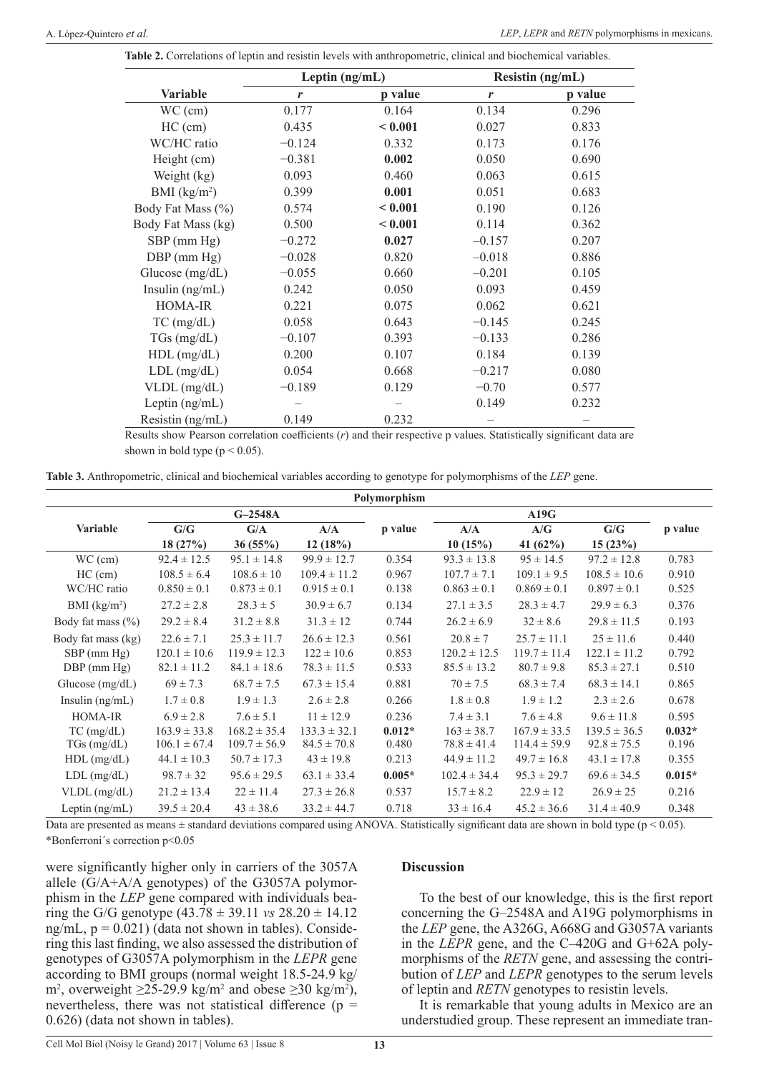|  | <b>Table 2.</b> Correlations of leptin and resistin levels with anthropometric, clinical and biochemical variables. |
|--|---------------------------------------------------------------------------------------------------------------------|
|--|---------------------------------------------------------------------------------------------------------------------|

|                    | Leptin $(ng/mL)$ |         | Resistin (ng/mL) |         |  |
|--------------------|------------------|---------|------------------|---------|--|
| <b>Variable</b>    | r                | p value | r                | p value |  |
| $WC$ (cm)          | 0.177            | 0.164   | 0.134            | 0.296   |  |
| $HC$ (cm)          | 0.435            | < 0.001 | 0.027            | 0.833   |  |
| WC/HC ratio        | $-0.124$         | 0.332   | 0.173            | 0.176   |  |
| Height (cm)        | $-0.381$         | 0.002   | 0.050            | 0.690   |  |
| Weight (kg)        | 0.093            | 0.460   | 0.063            | 0.615   |  |
| BMI $(kg/m2)$      | 0.399            | 0.001   | 0.051            | 0.683   |  |
| Body Fat Mass (%)  | 0.574            | < 0.001 | 0.190            | 0.126   |  |
| Body Fat Mass (kg) | 0.500            | < 0.001 | 0.114            | 0.362   |  |
| $SBP$ (mm $Hg$ )   | $-0.272$         | 0.027   | $-0.157$         | 0.207   |  |
| $DBP$ (mm $Hg$ )   | $-0.028$         | 0.820   | $-0.018$         | 0.886   |  |
| Glucose (mg/dL)    | $-0.055$         | 0.660   | $-0.201$         | 0.105   |  |
| Insulin $(ng/mL)$  | 0.242            | 0.050   | 0.093            | 0.459   |  |
| HOMA-IR            | 0.221            | 0.075   | 0.062            | 0.621   |  |
| $TC$ (mg/dL)       | 0.058            | 0.643   | $-0.145$         | 0.245   |  |
| $TGs$ (mg/dL)      | $-0.107$         | 0.393   | $-0.133$         | 0.286   |  |
| $HDL$ (mg/dL)      | 0.200            | 0.107   | 0.184            | 0.139   |  |
| $LDL$ (mg/dL)      | 0.054            | 0.668   | $-0.217$         | 0.080   |  |
| VLDL (mg/dL)       | $-0.189$         | 0.129   | $-0.70$          | 0.577   |  |
| Leptin $(ng/mL)$   |                  |         | 0.149            | 0.232   |  |
| Resistin (ng/mL)   | 0.149            | 0.232   |                  |         |  |

Results show Pearson correlation coefficients (*r*) and their respective p values. Statistically significant data are shown in bold type ( $p < 0.05$ ).

**Table 3.** Anthropometric, clinical and biochemical variables according to genotype for polymorphisms of the *LEP* gene.

|                          |                  |                  |                  | Polymorphism |                  |                  |                  |          |
|--------------------------|------------------|------------------|------------------|--------------|------------------|------------------|------------------|----------|
|                          |                  | $G-2548A$        |                  |              |                  | A19G             |                  |          |
| Variable                 | G/G              | G/A              | A/A              | p value      | A/A              | A/G              | G/G              | p value  |
|                          | 18(27%)          | 36(55%)          | 12(18%)          |              | 10(15%)          | 41 $(62%)$       | 15(23%)          |          |
| $WC$ (cm)                | $92.4 \pm 12.5$  | $95.1 \pm 14.8$  | $99.9 \pm 12.7$  | 0.354        | $93.3 \pm 13.8$  | $95 \pm 14.5$    | $97.2 \pm 12.8$  | 0.783    |
| $HC$ (cm)                | $108.5 \pm 6.4$  | $108.6 \pm 10$   | $109.4 \pm 11.2$ | 0.967        | $107.7 \pm 7.1$  | $109.1 \pm 9.5$  | $108.5 \pm 10.6$ | 0.910    |
| WC/HC ratio              | $0.850 \pm 0.1$  | $0.873 \pm 0.1$  | $0.915 \pm 0.1$  | 0.138        | $0.863 \pm 0.1$  | $0.869 \pm 0.1$  | $0.897 \pm 0.1$  | 0.525    |
| BMI (kg/m <sup>2</sup> ) | $27.2 \pm 2.8$   | $28.3 \pm 5$     | $30.9 \pm 6.7$   | 0.134        | $27.1 \pm 3.5$   | $28.3 \pm 4.7$   | $29.9 \pm 6.3$   | 0.376    |
| Body fat mass $(\% )$    | $29.2 \pm 8.4$   | $31.2 \pm 8.8$   | $31.3 \pm 12$    | 0.744        | $26.2 \pm 6.9$   | $32 \pm 8.6$     | $29.8 \pm 11.5$  | 0.193    |
| Body fat mass (kg)       | $22.6 \pm 7.1$   | $25.3 \pm 11.7$  | $26.6 \pm 12.3$  | 0.561        | $20.8 \pm 7$     | $25.7 \pm 11.1$  | $25 \pm 11.6$    | 0.440    |
| $SBP$ (mm $Hg$ )         | $120.1 \pm 10.6$ | $119.9 \pm 12.3$ | $122 \pm 10.6$   | 0.853        | $120.2 \pm 12.5$ | $119.7 \pm 11.4$ | $122.1 \pm 11.2$ | 0.792    |
| $DBP$ (mm $Hg$ )         | $82.1 \pm 11.2$  | $84.1 \pm 18.6$  | $78.3 \pm 11.5$  | 0.533        | $85.5 \pm 13.2$  | $80.7 \pm 9.8$   | $85.3 \pm 27.1$  | 0.510    |
| Glucose $(mg/dL)$        | $69 \pm 7.3$     | $68.7 \pm 7.5$   | $67.3 \pm 15.4$  | 0.881        | $70 \pm 7.5$     | $68.3 \pm 7.4$   | $68.3 \pm 14.1$  | 0.865    |
| Insulin $(ng/mL)$        | $1.7 \pm 0.8$    | $1.9 \pm 1.3$    | $2.6 \pm 2.8$    | 0.266        | $1.8 \pm 0.8$    | $1.9 \pm 1.2$    | $2.3 \pm 2.6$    | 0.678    |
| <b>HOMA-IR</b>           | $6.9 \pm 2.8$    | $7.6 \pm 5.1$    | $11 \pm 12.9$    | 0.236        | $7.4 \pm 3.1$    | $7.6 \pm 4.8$    | $9.6 \pm 11.8$   | 0.595    |
| $TC$ (mg/dL)             | $163.9 \pm 33.8$ | $168.2 \pm 35.4$ | $133.3 \pm 32.1$ | $0.012*$     | $163 \pm 38.7$   | $167.9 \pm 33.5$ | $139.5 \pm 36.5$ | $0.032*$ |
| $TGs$ (mg/dL)            | $106.1 \pm 67.4$ | $109.7 \pm 56.9$ | $84.5 \pm 70.8$  | 0.480        | $78.8 \pm 41.4$  | $114.4 \pm 59.9$ | $92.8 \pm 75.5$  | 0.196    |
| $HDL$ (mg/dL)            | $44.1 \pm 10.3$  | $50.7 \pm 17.3$  | $43 \pm 19.8$    | 0.213        | $44.9 \pm 11.2$  | $49.7 \pm 16.8$  | $43.1 \pm 17.8$  | 0.355    |
| $LDL$ (mg/dL)            | $98.7 \pm 32$    | $95.6 \pm 29.5$  | $63.1 \pm 33.4$  | $0.005*$     | $102.4 \pm 34.4$ | $95.3 \pm 29.7$  | $69.6 \pm 34.5$  | $0.015*$ |
| VLDL (mg/dL)             | $21.2 \pm 13.4$  | $22 \pm 11.4$    | $27.3 \pm 26.8$  | 0.537        | $15.7 \pm 8.2$   | $22.9 \pm 12$    | $26.9 \pm 25$    | 0.216    |
| Leptin $(ng/mL)$         | $39.5 \pm 20.4$  | $43 \pm 38.6$    | $33.2 \pm 44.7$  | 0.718        | $33 \pm 16.4$    | $45.2 \pm 36.6$  | $31.4 \pm 40.9$  | 0.348    |

Data are presented as means  $\pm$  standard deviations compared using ANOVA. Statistically significant data are shown in bold type ( $p < 0.05$ ). \*Bonferroni´s correction p<0.05

were significantly higher only in carriers of the 3057A allele (G/A+A/A genotypes) of the G3057A polymorphism in the *LEP* gene compared with individuals bearing the G/G genotype  $(43.78 \pm 39.11 \text{ vs } 28.20 \pm 14.12$ ng/mL,  $p = 0.021$ ) (data not shown in tables). Considering this last finding, we also assessed the distribution of genotypes of G3057A polymorphism in the *LEPR* gene according to BMI groups (normal weight 18.5-24.9 kg/ m<sup>2</sup>, overweight  $\geq$ 25-29.9 kg/m<sup>2</sup> and obese  $\geq$ 30 kg/m<sup>2</sup>), nevertheless, there was not statistical difference ( $p =$ 0.626) (data not shown in tables).

## **Discussion**

To the best of our knowledge, this is the first report concerning the G–2548A and A19G polymorphisms in the *LEP* gene, the A326G, A668G and G3057A variants in the *LEPR* gene, and the C–420G and G+62A polymorphisms of the *RETN* gene, and assessing the contribution of *LEP* and *LEPR* genotypes to the serum levels of leptin and *RETN* genotypes to resistin levels.

It is remarkable that young adults in Mexico are an understudied group. These represent an immediate tran-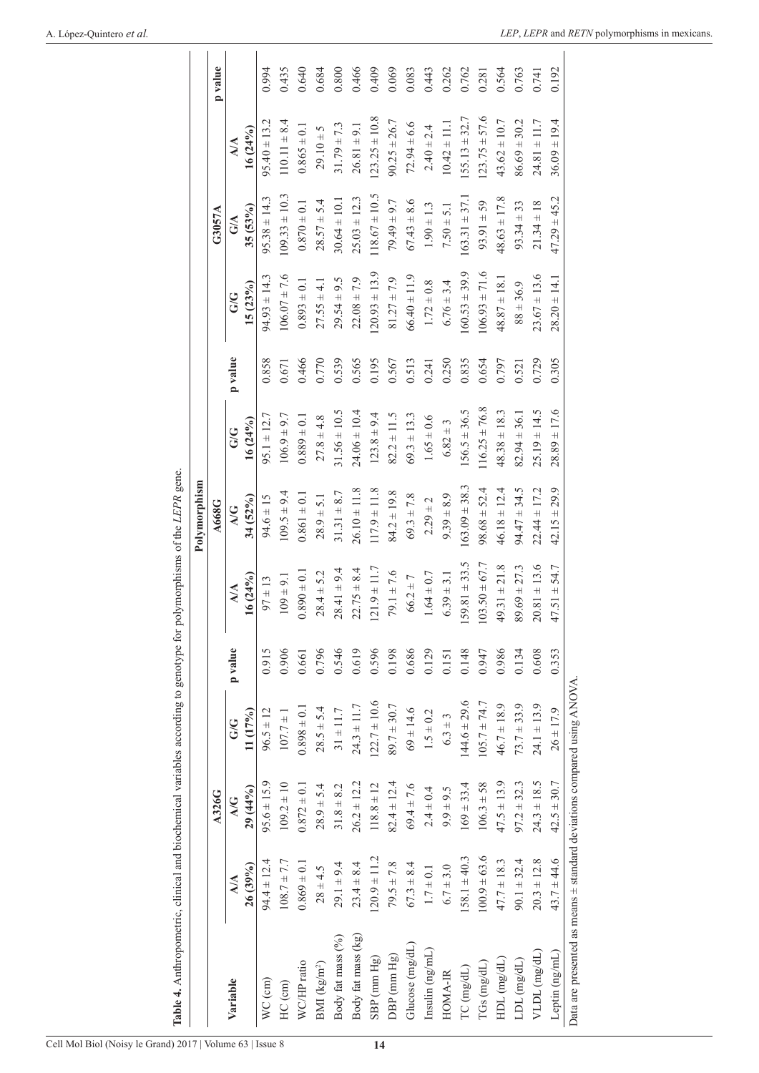# A. López-Quintero *et al.*

|                                                                        |                         |                 |                  |         |                   | Polymorphism      |                   |         |                    |                   |                   |         |
|------------------------------------------------------------------------|-------------------------|-----------------|------------------|---------|-------------------|-------------------|-------------------|---------|--------------------|-------------------|-------------------|---------|
|                                                                        |                         | A326G           |                  |         |                   | A668G             |                   |         |                    | G3057A            |                   | p value |
| Variable                                                               | $\mathbb{A}/\mathbb{A}$ | A/G             | G/G              | p value | $\mathbf{M}$      | $\Delta/G$        | GG                | p value | GG                 | G/A               | $\mathbf{M}$      |         |
|                                                                        | 26(39%)                 | 29(44%)         | 11(17%)          |         | $16(24\%)$        | 34 (52%)          | $16(24\%)$        |         | 15(23%)            | 35(53%)           | $16(24\%)$        |         |
| $WC$ (cm)                                                              | $94.4 \pm 12.4$         | $95.6 \pm 15.9$ | $96.5 \pm 12$    | 0.915   | $97 \pm 13$       | $94.6 \pm 15$     | $95.1 \pm 12.7$   | 0.858   | $94.93 \pm 14.3$   | $95.38 \pm 14.3$  | $95.40 \pm 13.2$  | 0.994   |
| HC (cm)                                                                | $108.7 \pm 7.7$         | $109.2 \pm 10$  | $107.7 \pm 1$    | 0.906   | $109 \pm 9.1$     | $109.5 \pm 9.4$   | $106.9 \pm 9.7$   | 0.671   | $106.07 \pm 7.6$   | $109.33 \pm 10.3$ | $110.11 \pm 8.4$  | 0.435   |
| WC/HP ratio                                                            | $0.869 \pm 0.1$         | $0.872 \pm 0.1$ | $0.898 \pm 0.1$  | 0.661   | $0.890 \pm 0.1$   | $0.861 \pm 0.1$   | $0.889 \pm 0.1$   | 0.466   | $0.893 \pm 0.1$    | $0.870 \pm 0.1$   | $0.865 \pm 0.1$   | 0.640   |
| BMI ( $\text{kg/m}^2$ )                                                | $28 \pm 4.5$            | $28.9 \pm 5.4$  | $28.5 \pm 5.4$   | 0.796   | $28.4 \pm 5.2$    | $28.9 \pm 5.1$    | $27.8 \pm 4.8$    | 0.770   | $27.55 \pm 4.1$    | $28.57 \pm 5.4$   | $29.10 \pm 5$     | 0.684   |
| Body fat mass (%)                                                      | $29.1 \pm 9.4$          | $31.8 \pm 8.2$  | $31 \pm 11.7$    | 0.546   | $28.41 \pm 9.4$   | $31.31 \pm 8.7$   | $31.56 \pm 10.5$  | 0.539   | $29.54 \pm 9.5$    | $30.64 \pm 10.1$  | $31.79 \pm 7.3$   | 0.800   |
| Body fat mass (kg)                                                     | $23.4 \pm 8.4$          | $26.2 \pm 12.2$ | $24.3 \pm 11.7$  | 0.619   | $22.75 \pm 8.4$   | $26.10 \pm 11.8$  | $24.06 \pm 10.4$  | 0.565   | $22.08 \pm 7.9$    | $25.03 \pm 12.3$  | $26.81 \pm 9.1$   | 0.466   |
| $SBP$ (mm $Hg$ )                                                       | $120.9 \pm 11.2$        | $118.8 \pm 12$  | $122.7 \pm 10.6$ | 0.596   | $1.21.9 \pm 11.7$ | $117.9 \pm 11.8$  | $123.8 \pm 9.4$   | 0.195   | $(20.93 \pm 13.9)$ | $118.67 \pm 10.5$ | $123.25 \pm 10.8$ | 0.409   |
| DBP (mm Hg)                                                            | $79.5 \pm 7.8$          | $82.4 \pm 12.4$ | $89.7 \pm 30.7$  | 0.198   | $79.1 \pm 7.6$    | $84.2 \pm 19.8$   | $82.2 \pm 11.5$   | 0.567   | $81.27 \pm 7.9$    | $79.49 \pm 9.7$   | $90.25 \pm 26.7$  | 0.069   |
| Glucose (mg/dL)                                                        | $67.3 \pm 8.4$          | $69.4 \pm 7.6$  | $69 \pm 14.6$    | 0.686   | $66.2 \pm 7$      | $69.3 \pm 7.8$    | $69.3 \pm 13.3$   | 0.513   | $66.40 \pm 11.9$   | $67.43 \pm 8.6$   | $72.94 \pm 6.6$   | 0.083   |
| Insulin (ng/mL)                                                        | $1.7 \pm 0.1$           | $2.4 \pm 0.4$   | $1.5 \pm 0.2$    | 0.129   | $1.64 \pm 0.7$    | $2.29 \pm 2$      | $1.65 \pm 0.6$    | 0.241   | $1.72 \pm 0.8$     | $1.90 \pm 1.3$    | $2.40 \pm 2.4$    | 0.443   |
| HOMA-IR                                                                | $6.7 \pm 3.0$           | $9.9 \pm 9.5$   | $6.3 \pm 3$      | 0.151   | $6.39 \pm 3.1$    | $9.39 \pm 8.9$    | $6.82 \pm 3$      | 0.250   | $6.76 \pm 3.4$     | $7.50 \pm 5.1$    | $10.42 \pm 11.1$  | 0.262   |
| TC (mg/dL)                                                             | $158.1 \pm 40.3$        | $169 \pm 33.4$  | $144.6 \pm 29.6$ | 0.148   | $159.81 \pm 33.5$ | $163.09 \pm 38.3$ | $156.5 \pm 36.5$  | 0.835   | $160.53 \pm 39.9$  | $163.31 \pm 37.1$ | $155.13 \pm 32.7$ | 0.762   |
| $T Gs$ (mg/dL)                                                         | $100.9 \pm 63.6$        | $106.3 \pm 58$  | $105.7 \pm 74.7$ | 0.947   | $103.50 \pm 67.7$ | $98.68 \pm 52.4$  | $116.25 \pm 76.8$ | 0.654   | $106.93 \pm 71.6$  | $93.91 \pm 59$    | $123.75 \pm 57.6$ | 0.281   |
| $HDL$ (mg/dL)                                                          | $47.7 \pm 18.3$         | $47.5 \pm 13.9$ | $46.7 \pm 18.9$  | 0.986   | $49.31 \pm 21.8$  | $46.18 \pm 12.4$  | $48.38 \pm 18.3$  | 0.797   | $48.87 \pm 18.1$   | $48.63 \pm 17.8$  | $43.62 \pm 10.7$  | 0.564   |
| $LDL$ $(mg/dL)$                                                        | $90.1 \pm 32.4$         | $97.2 \pm 32.3$ | $73.7 \pm 33.9$  | 0.134   | $89.69 \pm 27.3$  | $94.47 \pm 34.5$  | $82.94 \pm 36.1$  | 0.521   | $88 \pm 36.9$      | $93.34 \pm 33$    | $86.69 \pm 30.2$  | 0.763   |
| VLDL (mg/dL)                                                           | $20.3 \pm 12.8$         | $24.3 \pm 18.5$ | $24.1 \pm 13.9$  | 0.608   | $20.81 \pm 13.6$  | $22.44 \pm 17.2$  | $25.19 \pm 14.5$  | 0.729   | $23.67 \pm 13.6$   | $21.34 \pm 18$    | $24.81 \pm 11.7$  | 0.741   |
| Leptin (ng/mL)                                                         | $43.7 \pm 44.6$         | $42.5 \pm 30.7$ | $26 \pm 17.9$    | 0.353   | $47.51 + 54.7$    | $42.15 \pm 29.9$  | $28.89 \pm 17.6$  | 0.305   | $28.20 \pm 14.1$   | $47.29 \pm 45.2$  | $36.09 \pm 19.4$  | 0.192   |
| Data are presented as means ± standard deviations compared using ANOVA |                         |                 |                  |         |                   |                   |                   |         |                    |                   |                   |         |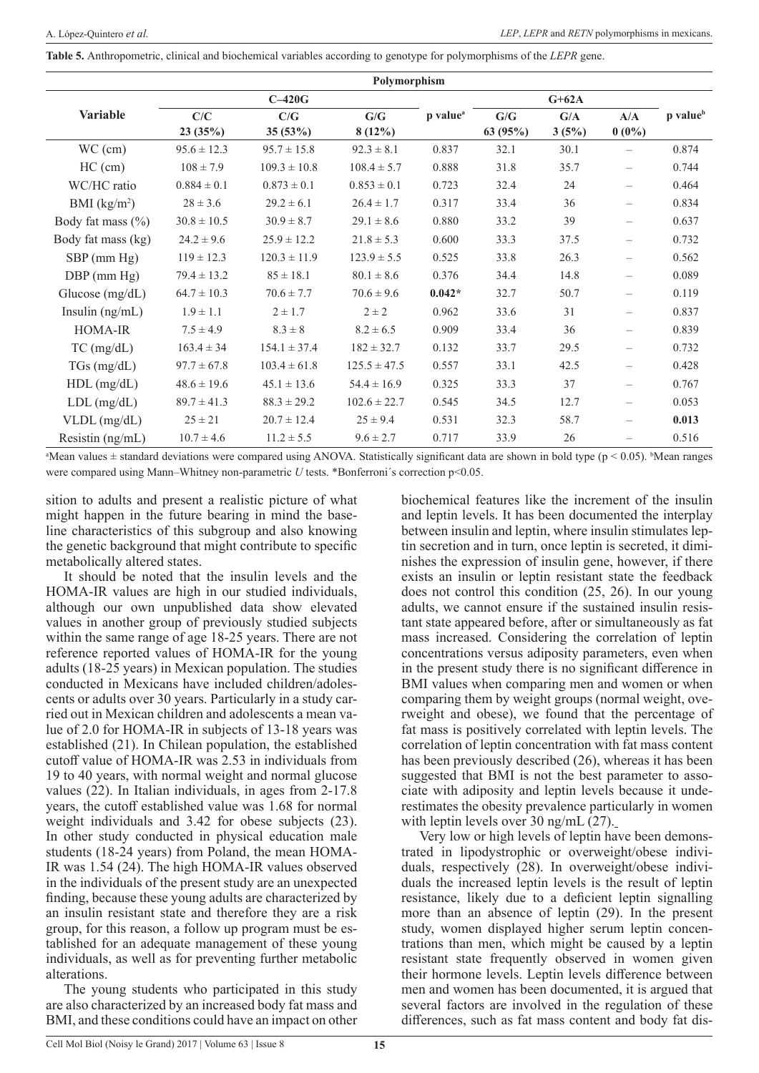**Table 5.** Anthropometric, clinical and biochemical variables according to genotype for polymorphisms of the *LEPR* gene.

|                       |                 |                  | Polymorphism     |                      |         |         |                          |                      |
|-----------------------|-----------------|------------------|------------------|----------------------|---------|---------|--------------------------|----------------------|
|                       |                 | $C-420G$         |                  |                      |         | $G+62A$ |                          |                      |
| Variable              | C/C             | C/G              | G/G              | p value <sup>a</sup> | G/G     | G/A     | A/A                      | p value <sup>b</sup> |
|                       | 23(35%)         | 35(53%)          | $8(12\%)$        |                      | 63(95%) | 3(5%)   | $0(0\%)$                 |                      |
| $WC$ (cm)             | $95.6 \pm 12.3$ | $95.7 \pm 15.8$  | $92.3 \pm 8.1$   | 0.837                | 32.1    | 30.1    |                          | 0.874                |
| $HC$ (cm)             | $108 \pm 7.9$   | $109.3 \pm 10.8$ | $108.4 \pm 5.7$  | 0.888                | 31.8    | 35.7    | $-$                      | 0.744                |
| WC/HC ratio           | $0.884 \pm 0.1$ | $0.873 \pm 0.1$  | $0.853 \pm 0.1$  | 0.723                | 32.4    | 24      | $\equiv$                 | 0.464                |
| BMI $(kg/m2)$         | $28 \pm 3.6$    | $29.2 \pm 6.1$   | $26.4 \pm 1.7$   | 0.317                | 33.4    | 36      | $\equiv$                 | 0.834                |
| Body fat mass $(\% )$ | $30.8 \pm 10.5$ | $30.9 \pm 8.7$   | $29.1 \pm 8.6$   | 0.880                | 33.2    | 39      | $-$                      | 0.637                |
| Body fat mass (kg)    | $24.2 \pm 9.6$  | $25.9 \pm 12.2$  | $21.8 \pm 5.3$   | 0.600                | 33.3    | 37.5    | $\overline{\phantom{0}}$ | 0.732                |
| $SBP$ (mm Hg)         | $119 \pm 12.3$  | $120.3 \pm 11.9$ | $123.9 \pm 5.5$  | 0.525                | 33.8    | 26.3    | $\equiv$                 | 0.562                |
| $DBP$ (mm $Hg$ )      | $79.4 \pm 13.2$ | $85 \pm 18.1$    | $80.1 \pm 8.6$   | 0.376                | 34.4    | 14.8    | $\equiv$                 | 0.089                |
| Glucose $(mg/dL)$     | $64.7 \pm 10.3$ | $70.6 \pm 7.7$   | $70.6 \pm 9.6$   | $0.042*$             | 32.7    | 50.7    | $\overline{\phantom{0}}$ | 0.119                |
| Insulin $(ng/mL)$     | $1.9 \pm 1.1$   | $2 \pm 1.7$      | $2 \pm 2$        | 0.962                | 33.6    | 31      | $\equiv$                 | 0.837                |
| HOMA-IR               | $7.5 \pm 4.9$   | $8.3 \pm 8$      | $8.2 \pm 6.5$    | 0.909                | 33.4    | 36      | $\overline{\phantom{0}}$ | 0.839                |
| $TC$ (mg/dL)          | $163.4 \pm 34$  | $154.1 \pm 37.4$ | $182 \pm 32.7$   | 0.132                | 33.7    | 29.5    | $\overline{\phantom{0}}$ | 0.732                |
| $TGs$ (mg/dL)         | $97.7 \pm 67.8$ | $103.4 \pm 61.8$ | $125.5 \pm 47.5$ | 0.557                | 33.1    | 42.5    | $\equiv$                 | 0.428                |
| $HDL$ (mg/dL)         | $48.6 \pm 19.6$ | $45.1 \pm 13.6$  | $54.4 \pm 16.9$  | 0.325                | 33.3    | 37      | $\equiv$                 | 0.767                |
| $LDL$ (mg/dL)         | $89.7 \pm 41.3$ | $88.3 \pm 29.2$  | $102.6 \pm 22.7$ | 0.545                | 34.5    | 12.7    | $\equiv$                 | 0.053                |
| $VLDL$ (mg/dL)        | $25 \pm 21$     | $20.7 \pm 12.4$  | $25 \pm 9.4$     | 0.531                | 32.3    | 58.7    | $\overline{\phantom{0}}$ | 0.013                |
| Resistin (ng/mL)      | $10.7 \pm 4.6$  | $11.2 \pm 5.5$   | $9.6 \pm 2.7$    | 0.717                | 33.9    | 26      | $\overline{\phantom{0}}$ | 0.516                |

a Mean values ± standard deviations were compared using ANOVA. Statistically significant data are shown in bold type (p < 0.05). <sup>b</sup> Mean ranges were compared using Mann–Whitney non-parametric *U* tests. \*Bonferroni's correction p<0.05.

sition to adults and present a realistic picture of what might happen in the future bearing in mind the baseline characteristics of this subgroup and also knowing the genetic background that might contribute to specific metabolically altered states.

It should be noted that the insulin levels and the HOMA-IR values are high in our studied individuals, although our own unpublished data show elevated values in another group of previously studied subjects within the same range of age 18-25 years. There are not reference reported values of HOMA-IR for the young adults (18-25 years) in Mexican population. The studies conducted in Mexicans have included children/adolescents or adults over 30 years. Particularly in a study carried out in Mexican children and adolescents a mean value of 2.0 for HOMA-IR in subjects of 13-18 years was established (21). In Chilean population, the established cutoff value of HOMA-IR was 2.53 in individuals from 19 to 40 years, with normal weight and normal glucose values (22). In Italian individuals, in ages from 2-17.8 years, the cutoff established value was 1.68 for normal weight individuals and 3.42 for obese subjects (23). In other study conducted in physical education male students (18-24 years) from Poland, the mean HOMA-IR was 1.54 (24). The high HOMA-IR values observed in the individuals of the present study are an unexpected finding, because these young adults are characterized by an insulin resistant state and therefore they are a risk group, for this reason, a follow up program must be established for an adequate management of these young individuals, as well as for preventing further metabolic alterations.

The young students who participated in this study are also characterized by an increased body fat mass and BMI, and these conditions could have an impact on other

biochemical features like the increment of the insulin and leptin levels. It has been documented the interplay between insulin and leptin, where insulin stimulates leptin secretion and in turn, once leptin is secreted, it diminishes the expression of insulin gene, however, if there exists an insulin or leptin resistant state the feedback does not control this condition (25, 26). In our young adults, we cannot ensure if the sustained insulin resistant state appeared before, after or simultaneously as fat mass increased. Considering the correlation of leptin concentrations versus adiposity parameters, even when in the present study there is no significant difference in BMI values when comparing men and women or when comparing them by weight groups (normal weight, overweight and obese), we found that the percentage of fat mass is positively correlated with leptin levels. The correlation of leptin concentration with fat mass content has been previously described (26), whereas it has been suggested that BMI is not the best parameter to associate with adiposity and leptin levels because it underestimates the obesity prevalence particularly in women with leptin levels over 30 ng/mL (27).

Very low or high levels of leptin have been demonstrated in lipodystrophic or overweight/obese individuals, respectively (28). In overweight/obese individuals the increased leptin levels is the result of leptin resistance, likely due to a deficient leptin signalling more than an absence of leptin (29). In the present study, women displayed higher serum leptin concentrations than men, which might be caused by a leptin resistant state frequently observed in women given their hormone levels. Leptin levels difference between men and women has been documented, it is argued that several factors are involved in the regulation of these differences, such as fat mass content and body fat dis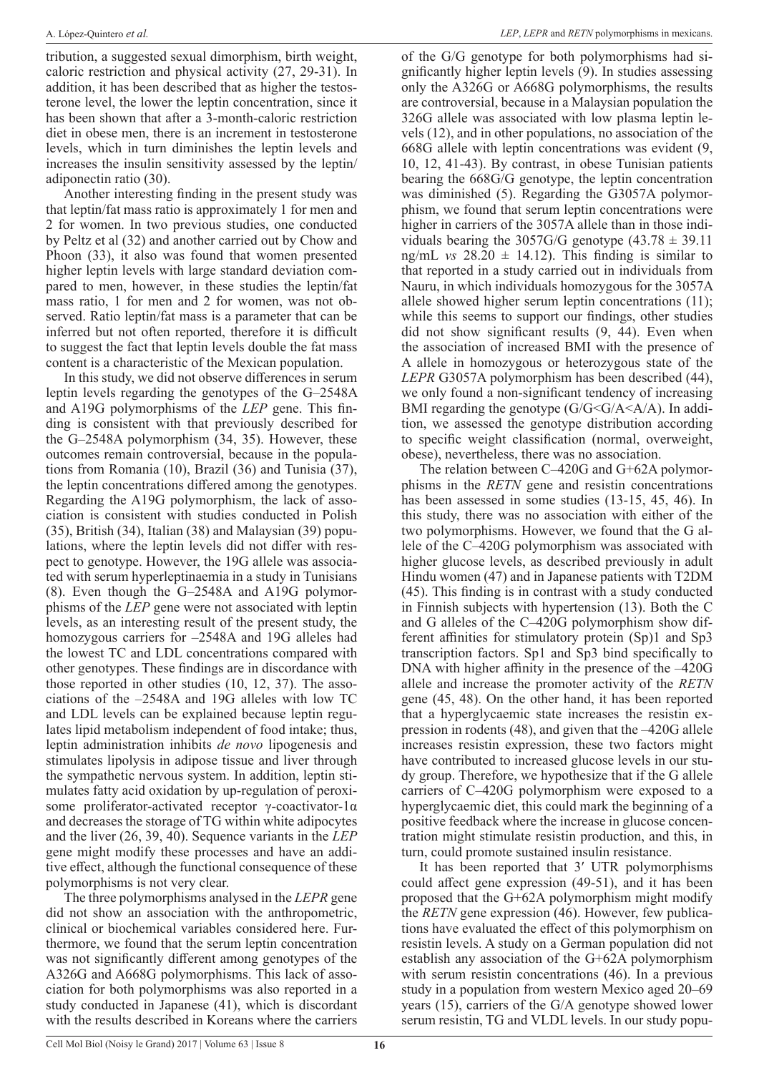tribution, a suggested sexual dimorphism, birth weight, caloric restriction and physical activity (27, 29-31). In addition, it has been described that as higher the testosterone level, the lower the leptin concentration, since it has been shown that after a 3-month-caloric restriction diet in obese men, there is an increment in testosterone levels, which in turn diminishes the leptin levels and increases the insulin sensitivity assessed by the leptin/ adiponectin ratio (30).

Another interesting finding in the present study was that leptin/fat mass ratio is approximately 1 for men and 2 for women. In two previous studies, one conducted by Peltz et al (32) and another carried out by Chow and Phoon (33), it also was found that women presented higher leptin levels with large standard deviation compared to men, however, in these studies the leptin/fat mass ratio, 1 for men and 2 for women, was not observed. Ratio leptin/fat mass is a parameter that can be inferred but not often reported, therefore it is difficult to suggest the fact that leptin levels double the fat mass content is a characteristic of the Mexican population.

In this study, we did not observe differences in serum leptin levels regarding the genotypes of the G–2548A and A19G polymorphisms of the *LEP* gene. This finding is consistent with that previously described for the G–2548A polymorphism (34, 35). However, these outcomes remain controversial, because in the populations from Romania (10), Brazil (36) and Tunisia (37), the leptin concentrations differed among the genotypes. Regarding the A19G polymorphism, the lack of association is consistent with studies conducted in Polish (35), British (34), Italian (38) and Malaysian (39) populations, where the leptin levels did not differ with respect to genotype. However, the 19G allele was associated with serum hyperleptinaemia in a study in Tunisians (8). Even though the G–2548A and A19G polymorphisms of the *LEP* gene were not associated with leptin levels, as an interesting result of the present study, the homozygous carriers for –2548A and 19G alleles had the lowest TC and LDL concentrations compared with other genotypes. These findings are in discordance with those reported in other studies (10, 12, 37). The associations of the –2548A and 19G alleles with low TC and LDL levels can be explained because leptin regulates lipid metabolism independent of food intake; thus, leptin administration inhibits *de novo* lipogenesis and stimulates lipolysis in adipose tissue and liver through the sympathetic nervous system. In addition, leptin stimulates fatty acid oxidation by up-regulation of peroxisome proliferator-activated receptor γ-coactivator-1α and decreases the storage of TG within white adipocytes and the liver (26, 39, 40). Sequence variants in the *LEP* gene might modify these processes and have an additive effect, although the functional consequence of these polymorphisms is not very clear.

The three polymorphisms analysed in the *LEPR* gene did not show an association with the anthropometric, clinical or biochemical variables considered here. Furthermore, we found that the serum leptin concentration was not significantly different among genotypes of the A326G and A668G polymorphisms. This lack of association for both polymorphisms was also reported in a study conducted in Japanese (41), which is discordant with the results described in Koreans where the carriers

of the G/G genotype for both polymorphisms had significantly higher leptin levels (9). In studies assessing only the A326G or A668G polymorphisms, the results are controversial, because in a Malaysian population the 326G allele was associated with low plasma leptin levels (12), and in other populations, no association of the 668G allele with leptin concentrations was evident (9, 10, 12, 41-43). By contrast, in obese Tunisian patients bearing the 668G/G genotype, the leptin concentration was diminished (5). Regarding the G3057A polymorphism, we found that serum leptin concentrations were higher in carriers of the 3057A allele than in those individuals bearing the 3057G/G genotype  $(43.78 \pm 39.11)$ ng/mL *vs*  $28.20 \pm 14.12$ ). This finding is similar to that reported in a study carried out in individuals from Nauru, in which individuals homozygous for the 3057A allele showed higher serum leptin concentrations (11); while this seems to support our findings, other studies did not show significant results (9, 44). Even when the association of increased BMI with the presence of A allele in homozygous or heterozygous state of the *LEPR* G3057A polymorphism has been described (44), we only found a non-significant tendency of increasing BMI regarding the genotype  $(G/G \leq G/A \leq A/A)$ . In addition, we assessed the genotype distribution according to specific weight classification (normal, overweight, obese), nevertheless, there was no association.

The relation between C–420G and G+62A polymorphisms in the *RETN* gene and resistin concentrations has been assessed in some studies (13-15, 45, 46). In this study, there was no association with either of the two polymorphisms. However, we found that the G allele of the C–420G polymorphism was associated with higher glucose levels, as described previously in adult Hindu women (47) and in Japanese patients with T2DM (45). This finding is in contrast with a study conducted in Finnish subjects with hypertension (13). Both the C and G alleles of the C–420G polymorphism show different affinities for stimulatory protein (Sp)1 and Sp3 transcription factors. Sp1 and Sp3 bind specifically to DNA with higher affinity in the presence of the –420G allele and increase the promoter activity of the *RETN* gene (45, 48). On the other hand, it has been reported that a hyperglycaemic state increases the resistin expression in rodents (48), and given that the –420G allele increases resistin expression, these two factors might have contributed to increased glucose levels in our study group. Therefore, we hypothesize that if the G allele carriers of C–420G polymorphism were exposed to a hyperglycaemic diet, this could mark the beginning of a positive feedback where the increase in glucose concentration might stimulate resistin production, and this, in turn, could promote sustained insulin resistance.

It has been reported that 3′ UTR polymorphisms could affect gene expression (49-51), and it has been proposed that the G+62A polymorphism might modify the *RETN* gene expression (46). However, few publications have evaluated the effect of this polymorphism on resistin levels. A study on a German population did not establish any association of the G+62A polymorphism with serum resistin concentrations (46). In a previous study in a population from western Mexico aged 20–69 years (15), carriers of the G/A genotype showed lower serum resistin, TG and VLDL levels. In our study popu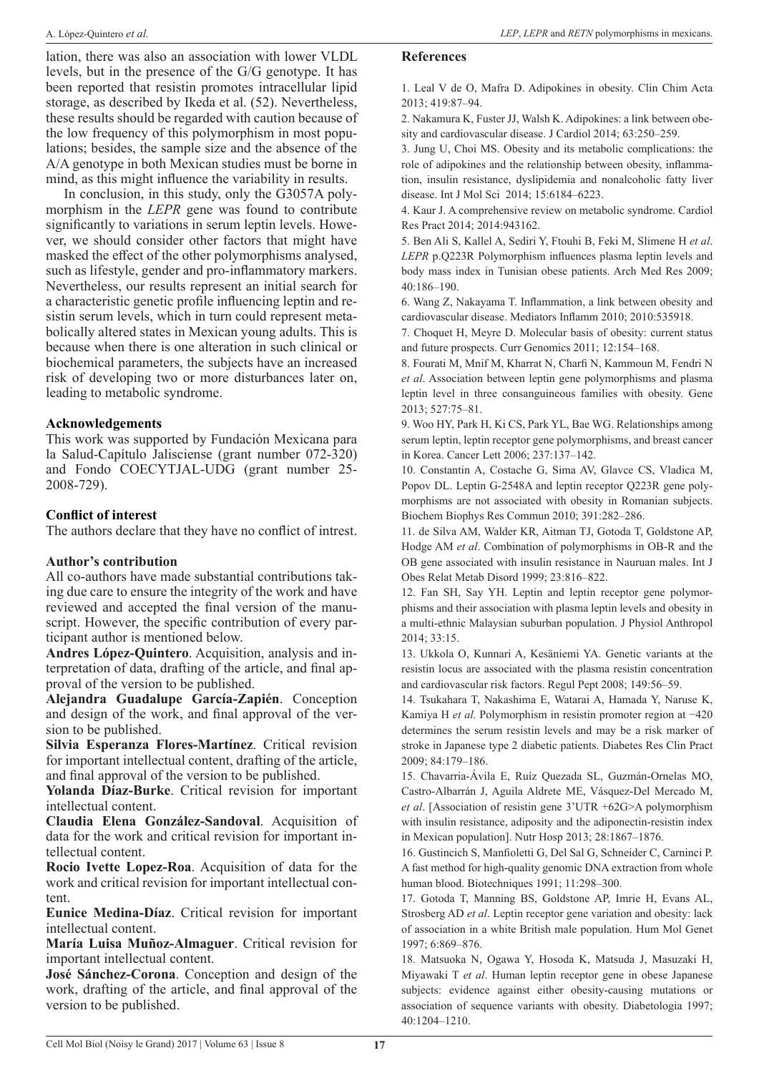lation, there was also an association with lower VLDL levels, but in the presence of the G/G genotype. It has been reported that resistin promotes intracellular lipid storage, as described by Ikeda et al. (52). Nevertheless, these results should be regarded with caution because of the low frequency of this polymorphism in most populations; besides, the sample size and the absence of the A/A genotype in both Mexican studies must be borne in mind, as this might influence the variability in results.

In conclusion, in this study, only the G3057A polymorphism in the *LEPR* gene was found to contribute significantly to variations in serum leptin levels. However, we should consider other factors that might have masked the effect of the other polymorphisms analysed, such as lifestyle, gender and pro-inflammatory markers. Nevertheless, our results represent an initial search for a characteristic genetic profile influencing leptin and resistin serum levels, which in turn could represent metabolically altered states in Mexican young adults. This is because when there is one alteration in such clinical or biochemical parameters, the subjects have an increased risk of developing two or more disturbances later on, leading to metabolic syndrome.

## **Acknowledgements**

This work was supported by Fundación Mexicana para la Salud-Capítulo Jalisciense (grant number 072-320) and Fondo COECYTJAL-UDG (grant number 25- 2008-729).

#### **Conflict of interest**

The authors declare that they have no conflict of intrest.

## **Author's contribution**

All co-authors have made substantial contributions taking due care to ensure the integrity of the work and have reviewed and accepted the final version of the manuscript. However, the specific contribution of every participant author is mentioned below.

**Andres López-Quintero**. Acquisition, analysis and interpretation of data, drafting of the article, and final approval of the version to be published.

**Alejandra Guadalupe García-Zapién**. Conception and design of the work, and final approval of the version to be published.

**Silvia Esperanza Flores-Martínez**. Critical revision for important intellectual content, drafting of the article, and final approval of the version to be published.

**Yolanda Díaz-Burke**. Critical revision for important intellectual content.

**Claudia Elena González-Sandoval**. Acquisition of data for the work and critical revision for important intellectual content.

**Rocio Ivette Lopez-Roa**. Acquisition of data for the work and critical revision for important intellectual content.

**Eunice Medina-Díaz**. Critical revision for important intellectual content.

**María Luisa Muñoz-Almaguer**. Critical revision for important intellectual content.

**José Sánchez-Corona**. Conception and design of the work, drafting of the article, and final approval of the version to be published.

#### **References**

1. Leal V de O, Mafra D. Adipokines in obesity. Clin Chim Acta 2013; 419:87–94.

2. Nakamura K, Fuster JJ, Walsh K. Adipokines: a link between obesity and cardiovascular disease. J Cardiol 2014; 63:250–259.

3. Jung U, Choi MS. Obesity and its metabolic complications: the role of adipokines and the relationship between obesity, inflammation, insulin resistance, dyslipidemia and nonalcoholic fatty liver disease. Int J Mol Sci 2014; 15:6184–6223.

4. Kaur J. A comprehensive review on metabolic syndrome. Cardiol Res Pract 2014; 2014:943162.

5. Ben Ali S, Kallel A, Sediri Y, Ftouhi B, Feki M, Slimene H *et al*. *LEPR* p.Q223R Polymorphism influences plasma leptin levels and body mass index in Tunisian obese patients. Arch Med Res 2009; 40:186–190.

6. Wang Z, Nakayama T. Inflammation, a link between obesity and cardiovascular disease. Mediators Inflamm 2010; 2010:535918.

7. Choquet H, Meyre D. Molecular basis of obesity: current status and future prospects. Curr Genomics 2011; 12:154–168.

8. Fourati M, Mnif M, Kharrat N, Charfi N, Kammoun M, Fendri N *et al*. Association between leptin gene polymorphisms and plasma leptin level in three consanguineous families with obesity. Gene 2013; 527:75–81.

9. Woo HY, Park H, Ki CS, Park YL, Bae WG. Relationships among serum leptin, leptin receptor gene polymorphisms, and breast cancer in Korea. Cancer Lett 2006; 237:137–142.

10. Constantin A, Costache G, Sima AV, Glavce CS, Vladica M, Popov DL. Leptin G-2548A and leptin receptor Q223R gene polymorphisms are not associated with obesity in Romanian subjects. Biochem Biophys Res Commun 2010; 391:282–286.

11. de Silva AM, Walder KR, Aitman TJ, Gotoda T, Goldstone AP, Hodge AM *et al*. Combination of polymorphisms in OB-R and the OB gene associated with insulin resistance in Nauruan males. Int J Obes Relat Metab Disord 1999; 23:816–822.

12. Fan SH, Say YH. Leptin and leptin receptor gene polymorphisms and their association with plasma leptin levels and obesity in a multi-ethnic Malaysian suburban population. J Physiol Anthropol 2014; 33:15.

13. Ukkola O, Kunnari A, Kesäniemi YA. Genetic variants at the resistin locus are associated with the plasma resistin concentration and cardiovascular risk factors. Regul Pept 2008; 149:56–59.

14. Tsukahara T, Nakashima E, Watarai A, Hamada Y, Naruse K, Kamiya H *et al.* Polymorphism in resistin promoter region at −420 determines the serum resistin levels and may be a risk marker of stroke in Japanese type 2 diabetic patients. Diabetes Res Clin Pract 2009; 84:179–186.

15. Chavarria-Ávila E, Ruíz Quezada SL, Guzmán-Ornelas MO, Castro-Albarrán J, Aguila Aldrete ME, Vásquez-Del Mercado M, *et al*. [Association of resistin gene 3'UTR +62G>A polymorphism with insulin resistance, adiposity and the adiponectin-resistin index in Mexican population]. Nutr Hosp 2013; 28:1867–1876.

16. Gustincich S, Manfioletti G, Del Sal G, Schneider C, Carninci P. A fast method for high-quality genomic DNA extraction from whole human blood. Biotechniques 1991; 11:298–300.

17. Gotoda T, Manning BS, Goldstone AP, Imrie H, Evans AL, Strosberg AD *et al*. Leptin receptor gene variation and obesity: lack of association in a white British male population. Hum Mol Genet 1997; 6:869–876.

18. Matsuoka N, Ogawa Y, Hosoda K, Matsuda J, Masuzaki H, Miyawaki T *et al*. Human leptin receptor gene in obese Japanese subjects: evidence against either obesity-causing mutations or association of sequence variants with obesity. Diabetologia 1997; 40:1204–1210.